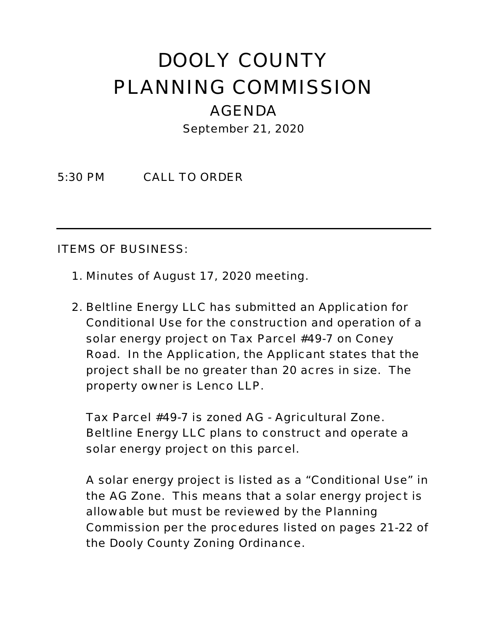## DOOLY COUNTY PLANNING COMMISSION AGENDA September 21, 2020

5:30 PM CALL TO ORDER

ITEMS OF BUSINESS:

- 1. Minutes of August 17, 2020 meeting.
- 2. Beltline Energy LLC has submitted an Application for Conditional Use for the construction and operation of a solar energy project on Tax Parcel #49-7 on Coney Road. In the Application, the Applicant states that the project shall be no greater than 20 acres in size. The property owner is Lenco LLP.

Tax Parcel #49-7 is zoned AG - Agricultural Zone. Beltline Energy LLC plans to construct and operate a solar energy project on this parcel.

A solar energy project is listed as a "Conditional Use" in the AG Zone. This means that a solar energy project is allowable but must be reviewed by the Planning Commission per the procedures listed on pages 21-22 of the Dooly County Zoning Ordinance.